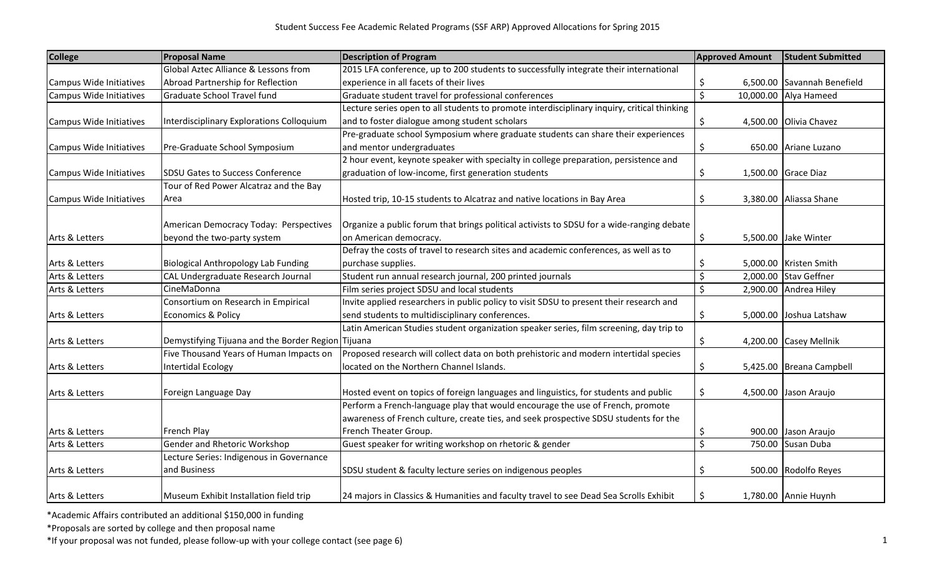| <b>College</b>          | <b>Proposal Name</b><br><b>Description of Program</b> |                                                                                             | <b>Approved Amount</b> | <b>Student Submitted</b>    |  |
|-------------------------|-------------------------------------------------------|---------------------------------------------------------------------------------------------|------------------------|-----------------------------|--|
|                         | Global Aztec Alliance & Lessons from                  | 2015 LFA conference, up to 200 students to successfully integrate their international       |                        |                             |  |
| Campus Wide Initiatives | Abroad Partnership for Reflection                     | experience in all facets of their lives                                                     | \$                     | 6,500.00 Savannah Benefield |  |
| Campus Wide Initiatives | Graduate School Travel fund                           | Graduate student travel for professional conferences                                        | \$                     | 10,000.00 Alya Hameed       |  |
|                         |                                                       | Lecture series open to all students to promote interdisciplinary inquiry, critical thinking |                        |                             |  |
| Campus Wide Initiatives | Interdisciplinary Explorations Colloquium             | and to foster dialogue among student scholars                                               | \$                     | 4,500.00 Olivia Chavez      |  |
|                         |                                                       | Pre-graduate school Symposium where graduate students can share their experiences           |                        |                             |  |
| Campus Wide Initiatives | Pre-Graduate School Symposium                         | and mentor undergraduates                                                                   | \$                     | 650.00 Ariane Luzano        |  |
|                         |                                                       | 2 hour event, keynote speaker with specialty in college preparation, persistence and        |                        |                             |  |
| Campus Wide Initiatives | <b>SDSU Gates to Success Conference</b>               | graduation of low-income, first generation students                                         | \$                     | 1,500.00 Grace Diaz         |  |
|                         | Tour of Red Power Alcatraz and the Bay                |                                                                                             |                        |                             |  |
| Campus Wide Initiatives | Area                                                  | Hosted trip, 10-15 students to Alcatraz and native locations in Bay Area                    | \$                     | 3,380.00 Aliassa Shane      |  |
|                         |                                                       |                                                                                             |                        |                             |  |
|                         | American Democracy Today: Perspectives                | Organize a public forum that brings political activists to SDSU for a wide-ranging debate   |                        |                             |  |
| Arts & Letters          | beyond the two-party system                           | on American democracy.                                                                      | \$                     | 5,500.00 Jake Winter        |  |
|                         |                                                       | Defray the costs of travel to research sites and academic conferences, as well as to        |                        |                             |  |
| Arts & Letters          | <b>Biological Anthropology Lab Funding</b>            | purchase supplies.                                                                          | \$,                    | 5,000.00 Kristen Smith      |  |
| Arts & Letters          | CAL Undergraduate Research Journal                    | Student run annual research journal, 200 printed journals                                   | \$<br>2,000.00         | <b>Stav Geffner</b>         |  |
| Arts & Letters          | CineMaDonna                                           | Film series project SDSU and local students                                                 | \$                     | 2,900.00 Andrea Hiley       |  |
|                         | Consortium on Research in Empirical                   | Invite applied researchers in public policy to visit SDSU to present their research and     |                        |                             |  |
| Arts & Letters          | Economics & Policy                                    | send students to multidisciplinary conferences.                                             | \$                     | 5,000.00 Joshua Latshaw     |  |
|                         |                                                       | Latin American Studies student organization speaker series, film screening, day trip to     |                        |                             |  |
| Arts & Letters          | Demystifying Tijuana and the Border Region Tijuana    |                                                                                             | \$                     | 4,200.00 Casey Mellnik      |  |
|                         | Five Thousand Years of Human Impacts on               | Proposed research will collect data on both prehistoric and modern intertidal species       |                        |                             |  |
| Arts & Letters          | Intertidal Ecology                                    | located on the Northern Channel Islands.                                                    | \$                     | 5,425.00 Breana Campbell    |  |
|                         |                                                       |                                                                                             |                        |                             |  |
| Arts & Letters          | Foreign Language Day                                  | Hosted event on topics of foreign languages and linguistics, for students and public        | \$                     | 4,500.00 Jason Araujo       |  |
|                         |                                                       | Perform a French-language play that would encourage the use of French, promote              |                        |                             |  |
|                         |                                                       | awareness of French culture, create ties, and seek prospective SDSU students for the        |                        |                             |  |
| Arts & Letters          | French Play                                           | French Theater Group.                                                                       | S                      | 900.00 Jason Araujo         |  |
| Arts & Letters          | Gender and Rhetoric Workshop                          | Guest speaker for writing workshop on rhetoric & gender                                     | \$                     | 750.00 Susan Duba           |  |
|                         | Lecture Series: Indigenous in Governance              |                                                                                             |                        |                             |  |
| Arts & Letters          | and Business                                          | SDSU student & faculty lecture series on indigenous peoples                                 | S                      | 500.00 Rodolfo Reyes        |  |
| Arts & Letters          | Museum Exhibit Installation field trip                | 24 majors in Classics & Humanities and faculty travel to see Dead Sea Scrolls Exhibit       | $\zeta$                | 1,780.00 Annie Huynh        |  |

\*Proposals are sorted by college and then proposal name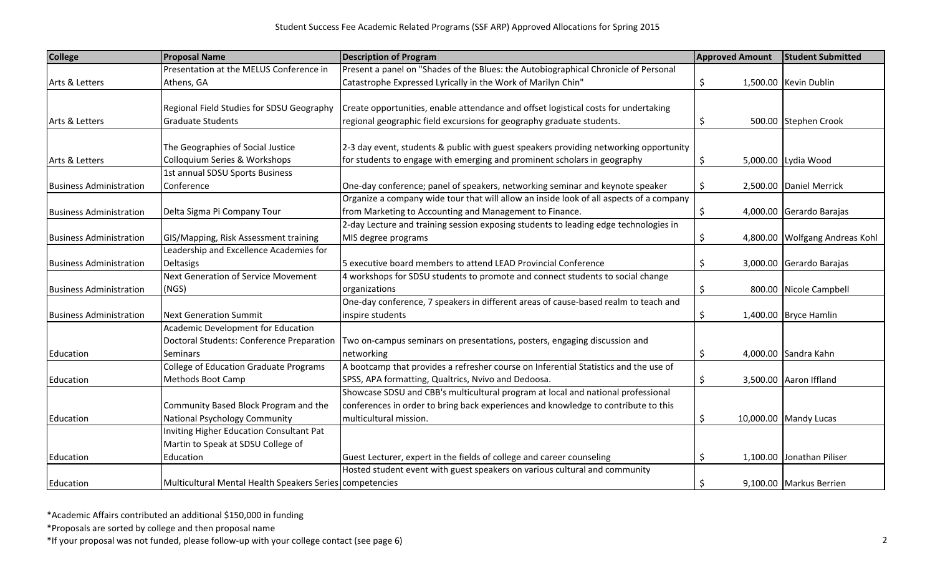| <b>College</b>                 | <b>Proposal Name</b>                                     | <b>Description of Program</b>                                                           | <b>Approved Amount</b> | <b>Student Submitted</b>       |
|--------------------------------|----------------------------------------------------------|-----------------------------------------------------------------------------------------|------------------------|--------------------------------|
|                                | Presentation at the MELUS Conference in                  | Present a panel on "Shades of the Blues: the Autobiographical Chronicle of Personal     |                        |                                |
| Arts & Letters                 | Athens, GA                                               | Catastrophe Expressed Lyrically in the Work of Marilyn Chin"                            | \$                     | 1,500.00 Kevin Dublin          |
|                                |                                                          |                                                                                         |                        |                                |
|                                | Regional Field Studies for SDSU Geography                | Create opportunities, enable attendance and offset logistical costs for undertaking     |                        |                                |
| Arts & Letters                 | <b>Graduate Students</b>                                 | regional geographic field excursions for geography graduate students.                   | \$                     | 500.00 Stephen Crook           |
|                                |                                                          |                                                                                         |                        |                                |
|                                | The Geographies of Social Justice                        | 2-3 day event, students & public with guest speakers providing networking opportunity   |                        |                                |
| Arts & Letters                 | Colloquium Series & Workshops                            | for students to engage with emerging and prominent scholars in geography                | \$                     | 5,000.00 Lydia Wood            |
|                                | 1st annual SDSU Sports Business                          |                                                                                         |                        |                                |
| <b>Business Administration</b> | Conference                                               | One-day conference; panel of speakers, networking seminar and keynote speaker           | \$                     | 2,500.00 Daniel Merrick        |
|                                |                                                          | Organize a company wide tour that will allow an inside look of all aspects of a company |                        |                                |
| <b>Business Administration</b> | Delta Sigma Pi Company Tour                              | from Marketing to Accounting and Management to Finance.                                 | \$                     | 4,000.00 Gerardo Barajas       |
|                                |                                                          | 2-day Lecture and training session exposing students to leading edge technologies in    |                        |                                |
| <b>Business Administration</b> | GIS/Mapping, Risk Assessment training                    | MIS degree programs                                                                     | \$                     | 4,800.00 Wolfgang Andreas Kohl |
|                                | Leadership and Excellence Academies for                  |                                                                                         |                        |                                |
| <b>Business Administration</b> | Deltasigs                                                | 5 executive board members to attend LEAD Provincial Conference                          | \$                     | 3,000.00 Gerardo Barajas       |
|                                | Next Generation of Service Movement                      | 4 workshops for SDSU students to promote and connect students to social change          |                        |                                |
| <b>Business Administration</b> | (NGS)                                                    | organizations                                                                           | \$                     | 800.00 Nicole Campbell         |
|                                |                                                          | One-day conference, 7 speakers in different areas of cause-based realm to teach and     |                        |                                |
| <b>Business Administration</b> | <b>Next Generation Summit</b>                            | inspire students                                                                        | \$                     | 1,400.00 Bryce Hamlin          |
|                                | Academic Development for Education                       |                                                                                         |                        |                                |
|                                | <b>Doctoral Students: Conference Preparation</b>         | Two on-campus seminars on presentations, posters, engaging discussion and               |                        |                                |
| Education                      | Seminars                                                 | networking                                                                              | \$                     | 4,000.00 Sandra Kahn           |
|                                | <b>College of Education Graduate Programs</b>            | A bootcamp that provides a refresher course on Inferential Statistics and the use of    |                        |                                |
| Education                      | Methods Boot Camp                                        | SPSS, APA formatting, Qualtrics, Nvivo and Dedoosa.                                     | \$                     | 3,500.00 Aaron Iffland         |
|                                |                                                          | Showcase SDSU and CBB's multicultural program at local and national professional        |                        |                                |
|                                | Community Based Block Program and the                    | conferences in order to bring back experiences and knowledge to contribute to this      |                        |                                |
| Education                      | National Psychology Community                            | multicultural mission.                                                                  | S                      | 10,000.00 Mandy Lucas          |
|                                | Inviting Higher Education Consultant Pat                 |                                                                                         |                        |                                |
|                                | Martin to Speak at SDSU College of                       |                                                                                         |                        |                                |
| Education                      | Education                                                | Guest Lecturer, expert in the fields of college and career counseling                   | \$                     | 1,100.00 Jonathan Piliser      |
|                                |                                                          | Hosted student event with guest speakers on various cultural and community              |                        |                                |
| Education                      | Multicultural Mental Health Speakers Series competencies |                                                                                         | Ŝ.                     | 9,100.00 Markus Berrien        |

\*Proposals are sorted by college and then proposal name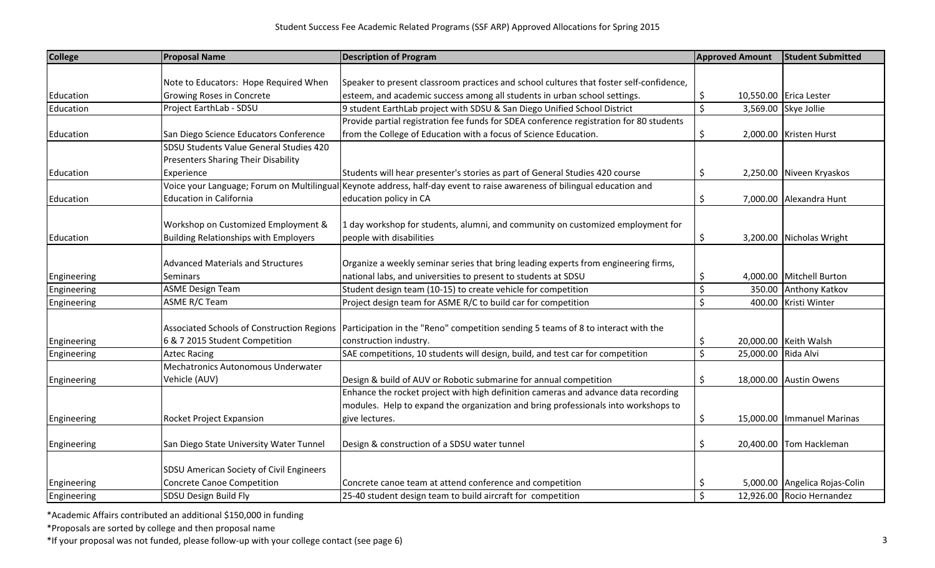| <b>College</b> | <b>Proposal Name</b>                         | <b>Description of Program</b>                                                           | <b>Approved Amount</b> |           | <b>Student Submitted</b>      |
|----------------|----------------------------------------------|-----------------------------------------------------------------------------------------|------------------------|-----------|-------------------------------|
|                |                                              |                                                                                         |                        |           |                               |
|                | Note to Educators: Hope Required When        | Speaker to present classroom practices and school cultures that foster self-confidence, |                        |           |                               |
| Education      | <b>Growing Roses in Concrete</b>             | esteem, and academic success among all students in urban school settings.               | \$                     |           | 10,550.00 Erica Lester        |
| Education      | Project EarthLab - SDSU                      | 9 student EarthLab project with SDSU & San Diego Unified School District                | $\mathsf{S}$           |           | 3,569.00 Skye Jollie          |
|                |                                              | Provide partial registration fee funds for SDEA conference registration for 80 students |                        |           |                               |
| Education      | San Diego Science Educators Conference       | from the College of Education with a focus of Science Education.                        | \$                     |           | 2,000.00 Kristen Hurst        |
|                | SDSU Students Value General Studies 420      |                                                                                         |                        |           |                               |
|                | <b>Presenters Sharing Their Disability</b>   |                                                                                         |                        |           |                               |
| Education      | Experience                                   | Students will hear presenter's stories as part of General Studies 420 course            | Ŝ.                     |           | 2,250.00 Niveen Kryaskos      |
|                | Voice your Language; Forum on Multilingual   | Keynote address, half-day event to raise awareness of bilingual education and           |                        |           |                               |
| Education      | <b>Education in California</b>               | education policy in CA                                                                  | \$                     |           | 7,000.00 Alexandra Hunt       |
|                |                                              |                                                                                         |                        |           |                               |
|                | Workshop on Customized Employment &          | 1 day workshop for students, alumni, and community on customized employment for         |                        |           |                               |
| Education      | <b>Building Relationships with Employers</b> | people with disabilities                                                                | \$                     |           | 3,200.00 Nicholas Wright      |
|                |                                              |                                                                                         |                        |           |                               |
|                | <b>Advanced Materials and Structures</b>     | Organize a weekly seminar series that bring leading experts from engineering firms,     |                        |           |                               |
| Engineering    | Seminars                                     | national labs, and universities to present to students at SDSU                          | \$                     |           | 4,000.00 Mitchell Burton      |
| Engineering    | <b>ASME Design Team</b>                      | Student design team (10-15) to create vehicle for competition                           | $\zeta$                | 350.00    | <b>Anthony Katkov</b>         |
| Engineering    | <b>ASME R/C Team</b>                         | Project design team for ASME R/C to build car for competition                           | $\zeta$                |           | 400.00 Kristi Winter          |
|                |                                              |                                                                                         |                        |           |                               |
|                | Associated Schools of Construction Regions   | Participation in the "Reno" competition sending 5 teams of 8 to interact with the       |                        |           |                               |
| Engineering    | 6 & 7 2015 Student Competition               | construction industry.                                                                  | \$                     |           | 20,000.00 Keith Walsh         |
| Engineering    | <b>Aztec Racing</b>                          | SAE competitions, 10 students will design, build, and test car for competition          | \$                     | 25,000.00 | Rida Alvi                     |
|                | Mechatronics Autonomous Underwater           |                                                                                         |                        |           |                               |
| Engineering    | Vehicle (AUV)                                | Design & build of AUV or Robotic submarine for annual competition                       | \$                     |           | 18,000.00 Austin Owens        |
|                |                                              | Enhance the rocket project with high definition cameras and advance data recording      |                        |           |                               |
|                |                                              | modules. Help to expand the organization and bring professionals into workshops to      |                        |           |                               |
| Engineering    | Rocket Project Expansion                     | give lectures.                                                                          | \$                     |           | 15,000.00   Immanuel Marinas  |
|                |                                              |                                                                                         |                        |           |                               |
| Engineering    | San Diego State University Water Tunnel      | Design & construction of a SDSU water tunnel                                            | \$                     |           | 20,400.00 Tom Hackleman       |
|                |                                              |                                                                                         |                        |           |                               |
|                | SDSU American Society of Civil Engineers     |                                                                                         |                        |           |                               |
| Engineering    | <b>Concrete Canoe Competition</b>            | Concrete canoe team at attend conference and competition                                | \$                     |           | 5,000.00 Angelica Rojas-Colin |
| Engineering    | SDSU Design Build Fly                        | 25-40 student design team to build aircraft for competition                             | $\mathsf{\hat{S}}$     |           | 12,926.00 Rocio Hernandez     |

\*Proposals are sorted by college and then proposal name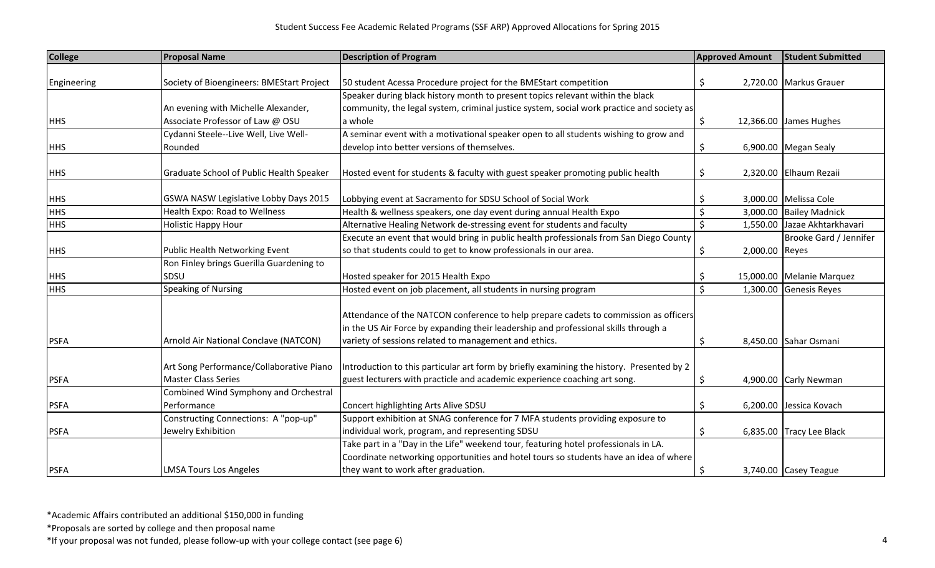| <b>College</b> | <b>Proposal Name</b>                         | <b>Description of Program</b>                                                                                                                                                                                                        | <b>Approved Amount</b> | <b>Student Submitted</b>     |
|----------------|----------------------------------------------|--------------------------------------------------------------------------------------------------------------------------------------------------------------------------------------------------------------------------------------|------------------------|------------------------------|
|                |                                              |                                                                                                                                                                                                                                      |                        |                              |
| Engineering    | Society of Bioengineers: BMEStart Project    | 50 student Acessa Procedure project for the BMEStart competition                                                                                                                                                                     | S                      | 2,720.00 Markus Grauer       |
|                |                                              | Speaker during black history month to present topics relevant within the black                                                                                                                                                       |                        |                              |
|                | An evening with Michelle Alexander,          | community, the legal system, criminal justice system, social work practice and society as                                                                                                                                            |                        |                              |
| <b>HHS</b>     | Associate Professor of Law @ OSU             | a whole                                                                                                                                                                                                                              | \$                     | 12,366.00 James Hughes       |
|                | Cydanni Steele--Live Well, Live Well-        | A seminar event with a motivational speaker open to all students wishing to grow and                                                                                                                                                 |                        |                              |
| <b>HHS</b>     | Rounded                                      | develop into better versions of themselves.                                                                                                                                                                                          |                        | 6,900.00 Megan Sealy         |
| <b>HHS</b>     | Graduate School of Public Health Speaker     | Hosted event for students & faculty with guest speaker promoting public health                                                                                                                                                       | S                      | 2,320.00 Elhaum Rezaii       |
| <b>HHS</b>     | <b>GSWA NASW Legislative Lobby Days 2015</b> | Lobbying event at Sacramento for SDSU School of Social Work                                                                                                                                                                          | S                      | 3,000.00 Melissa Cole        |
| <b>HHS</b>     | Health Expo: Road to Wellness                | Health & wellness speakers, one day event during annual Health Expo                                                                                                                                                                  | \$<br>3,000.00         | <b>Bailey Madnick</b>        |
| <b>HHS</b>     | <b>Holistic Happy Hour</b>                   | Alternative Healing Network de-stressing event for students and faculty                                                                                                                                                              | \$                     | 1,550.00 Jazae Akhtarkhavari |
|                |                                              | Execute an event that would bring in public health professionals from San Diego County                                                                                                                                               |                        | Brooke Gard / Jennifer       |
| <b>HHS</b>     | Public Health Networking Event               | so that students could to get to know professionals in our area.                                                                                                                                                                     | 2,000.00 Reyes<br>S    |                              |
|                | Ron Finley brings Guerilla Guardening to     |                                                                                                                                                                                                                                      |                        |                              |
| <b>HHS</b>     | SDSU                                         | Hosted speaker for 2015 Health Expo                                                                                                                                                                                                  | S                      | 15,000.00 Melanie Marquez    |
| <b>HHS</b>     | Speaking of Nursing                          | Hosted event on job placement, all students in nursing program                                                                                                                                                                       | ς<br>1,300.00          | <b>Genesis Reyes</b>         |
| <b>PSFA</b>    | Arnold Air National Conclave (NATCON)        | Attendance of the NATCON conference to help prepare cadets to commission as officers<br>in the US Air Force by expanding their leadership and professional skills through a<br>variety of sessions related to management and ethics. | S                      | 8,450.00 Sahar Osmani        |
|                | Art Song Performance/Collaborative Piano     | Introduction to this particular art form by briefly examining the history. Presented by 2                                                                                                                                            |                        |                              |
| <b>PSFA</b>    | <b>Master Class Series</b>                   | guest lecturers with practicle and academic experience coaching art song.                                                                                                                                                            | \$.                    | 4,900.00 Carly Newman        |
|                | Combined Wind Symphony and Orchestral        |                                                                                                                                                                                                                                      |                        |                              |
| <b>PSFA</b>    | Performance                                  | Concert highlighting Arts Alive SDSU                                                                                                                                                                                                 | \$                     | 6,200.00 Jessica Kovach      |
|                | Constructing Connections: A "pop-up"         | Support exhibition at SNAG conference for 7 MFA students providing exposure to                                                                                                                                                       |                        |                              |
| <b>PSFA</b>    | Jewelry Exhibition                           | individual work, program, and representing SDSU                                                                                                                                                                                      | Ś                      | 6,835.00 Tracy Lee Black     |
|                |                                              | Take part in a "Day in the Life" weekend tour, featuring hotel professionals in LA.                                                                                                                                                  |                        |                              |
|                |                                              | Coordinate networking opportunities and hotel tours so students have an idea of where                                                                                                                                                |                        |                              |
| <b>PSFA</b>    | <b>LMSA Tours Los Angeles</b>                | they want to work after graduation.                                                                                                                                                                                                  | \$                     | 3,740.00 Casey Teague        |

\*Proposals are sorted by college and then proposal name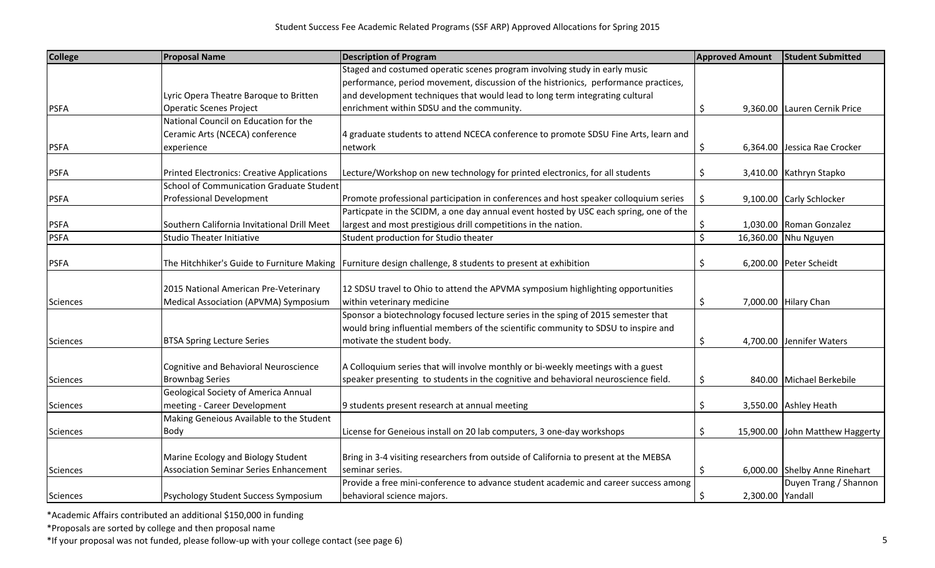| <b>College</b>  | <b>Proposal Name</b>                              | <b>Description of Program</b>                                                                                | <b>Approved Amount</b> | <b>Student Submitted</b>      |
|-----------------|---------------------------------------------------|--------------------------------------------------------------------------------------------------------------|------------------------|-------------------------------|
|                 |                                                   | Staged and costumed operatic scenes program involving study in early music                                   |                        |                               |
|                 |                                                   | performance, period movement, discussion of the histrionics, performance practices,                          |                        |                               |
|                 | Lyric Opera Theatre Baroque to Britten            | and development techniques that would lead to long term integrating cultural                                 |                        |                               |
| <b>PSFA</b>     | <b>Operatic Scenes Project</b>                    | enrichment within SDSU and the community.                                                                    | \$                     | 9,360.00 Lauren Cernik Price  |
|                 | National Council on Education for the             |                                                                                                              |                        |                               |
|                 | Ceramic Arts (NCECA) conference                   | 4 graduate students to attend NCECA conference to promote SDSU Fine Arts, learn and                          |                        |                               |
| <b>PSFA</b>     | experience                                        | network                                                                                                      | \$                     | 6,364.00 Jessica Rae Crocker  |
| <b>PSFA</b>     | <b>Printed Electronics: Creative Applications</b> | Lecture/Workshop on new technology for printed electronics, for all students                                 | S                      | 3,410.00 Kathryn Stapko       |
|                 | <b>School of Communication Graduate Student</b>   |                                                                                                              |                        |                               |
| <b>PSFA</b>     | <b>Professional Development</b>                   | Promote professional participation in conferences and host speaker colloquium series                         | \$                     | 9,100.00 Carly Schlocker      |
|                 |                                                   | Particpate in the SCIDM, a one day annual event hosted by USC each spring, one of the                        |                        |                               |
| <b>PSFA</b>     | Southern California Invitational Drill Meet       | largest and most prestigious drill competitions in the nation.                                               |                        | 1,030.00 Roman Gonzalez       |
| <b>PSFA</b>     | <b>Studio Theater Initiative</b>                  | Student production for Studio theater                                                                        | \$<br>$\zeta$          |                               |
|                 |                                                   |                                                                                                              |                        | 16,360.00 Nhu Nguyen          |
| <b>PSFA</b>     |                                                   | The Hitchhiker's Guide to Furniture Making   Furniture design challenge, 8 students to present at exhibition | Ś                      | 6,200.00 Peter Scheidt        |
|                 | 2015 National American Pre-Veterinary             | 12 SDSU travel to Ohio to attend the APVMA symposium highlighting opportunities                              |                        |                               |
| <b>Sciences</b> | Medical Association (APVMA) Symposium             | within veterinary medicine                                                                                   | \$                     | 7,000.00 Hilary Chan          |
|                 |                                                   | Sponsor a biotechnology focused lecture series in the sping of 2015 semester that                            |                        |                               |
|                 |                                                   | would bring influential members of the scientific community to SDSU to inspire and                           |                        |                               |
| Sciences        | <b>BTSA Spring Lecture Series</b>                 | motivate the student body.                                                                                   | \$                     | 4,700.00 Jennifer Waters      |
|                 | Cognitive and Behavioral Neuroscience             | A Colloquium series that will involve monthly or bi-weekly meetings with a guest                             |                        |                               |
| <b>Sciences</b> | <b>Brownbag Series</b>                            | speaker presenting to students in the cognitive and behavioral neuroscience field.                           | \$                     | 840.00 Michael Berkebile      |
|                 | <b>Geological Society of America Annual</b>       |                                                                                                              |                        |                               |
| <b>Sciences</b> | meeting - Career Development                      | 9 students present research at annual meeting                                                                | \$                     | 3,550.00 Ashley Heath         |
|                 | Making Geneious Available to the Student          |                                                                                                              |                        |                               |
|                 |                                                   |                                                                                                              |                        |                               |
| Sciences        | Body                                              | License for Geneious install on 20 lab computers, 3 one-day workshops                                        | \$<br>15,900.00        | John Matthew Haggerty         |
|                 | Marine Ecology and Biology Student                | Bring in 3-4 visiting researchers from outside of California to present at the MEBSA                         |                        |                               |
| <b>Sciences</b> | <b>Association Seminar Series Enhancement</b>     | seminar series.                                                                                              | \$                     | 6,000.00 Shelby Anne Rinehart |
|                 |                                                   | Provide a free mini-conference to advance student academic and career success among                          |                        | Duyen Trang / Shannon         |
| <b>Sciences</b> | Psychology Student Success Symposium              | behavioral science majors.                                                                                   | \$<br>2,300.00 Yandall |                               |

\*Proposals are sorted by college and then proposal name